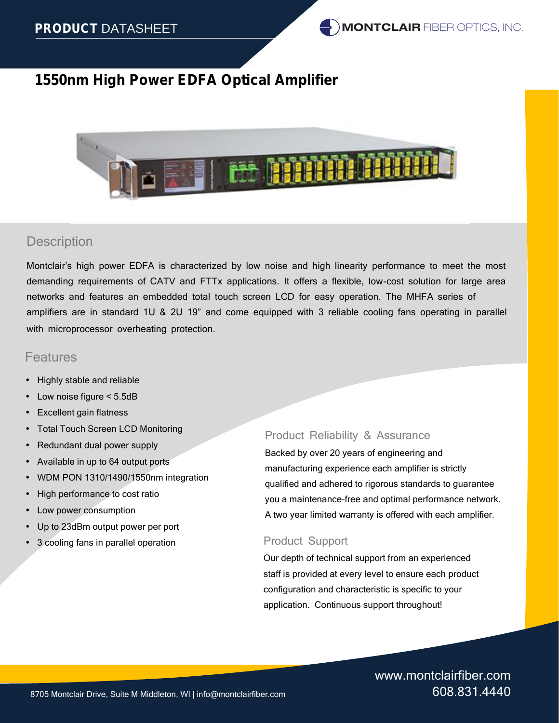

## **Description**

Montclair's high power EDFA is characterized by low noise and high linearity performance to meet the most demanding requirements of CATV and FTTx applications. It offers a flexible, low-cost solution for large area networks and features an embedded total touch screen LCD for easy operation. The MHFA series of amplifiers are in standard 1U & 2U 19" and come equipped with 3 reliable cooling fans operating in parallel with microprocessor overheating protection.

## Features

- Highly stable and reliable
- Low noise figure < 5.5dB
- Excellent gain flatness
- Total Touch Screen LCD Monitoring
- Redundant dual power supply
- Available in up to 64 output ports
- WDM PON 1310/1490/1550nm integration
- High performance to cost ratio
- Low power consumption
- Up to 23dBm output power per port
- 3 cooling fans in parallel operation

## Product Reliability & Assurance

Backed by over 20 years of engineering and manufacturing experience each amplifier is strictly qualified and adhered to rigorous standards to guarantee you a maintenance-free and optimal performance network. A two year limited warranty is offered with each amplifier.

### Product Support

Our depth of technical support from an experienced staff is provided at every level to ensure each product configuration and characteristic is specific to your application. Continuous support throughout!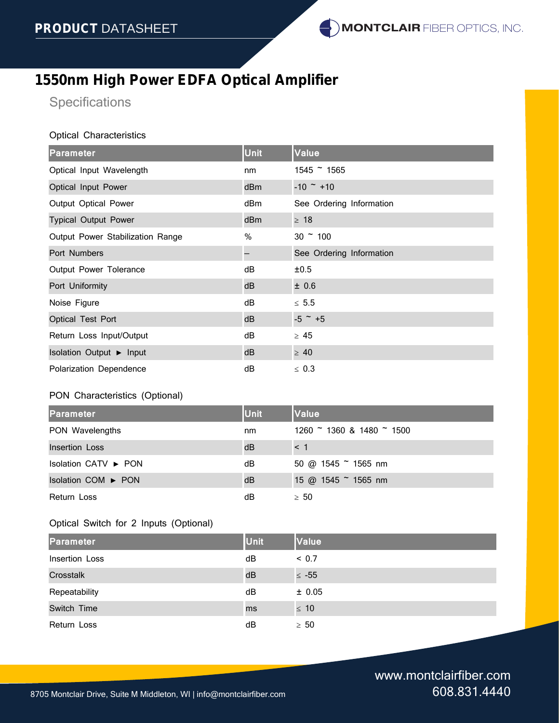**Specifications** 

#### Optical Characteristics

| Parameter                        | <b>Unit</b>     | Value                    |
|----------------------------------|-----------------|--------------------------|
| Optical Input Wavelength         | nm              | $1545$ ~ 1565            |
| Optical Input Power              | dBm             | $-10$ $\sim$ +10         |
| Output Optical Power             | dBm             | See Ordering Information |
| <b>Typical Output Power</b>      | dB <sub>m</sub> | 18                       |
| Output Power Stabilization Range | $\%$            | $30 \degree 100$         |
| Port Numbers                     |                 | See Ordering Information |
| Output Power Tolerance           | dB              | ±0.5                     |
| Port Uniformity                  | dB              | ± 0.6                    |
| Noise Figure                     | dB              | 5.5                      |
| Optical Test Port                | dB              | $-5$ $-$ +5              |
| Return Loss Input/Output         | dB              | 45                       |
| <b>Isolation Output</b><br>Input | dB              | 40                       |
| Polarization Dependence          | dB              | 0.3                      |

### PON Characteristics (Optional)

| <b>Parameter</b>                    | <b>Unit</b> | <b>Value</b>                |
|-------------------------------------|-------------|-----------------------------|
| PON Wavelengths                     | nm          | $1260$ ~ 1360 & 1480 ~ 1500 |
| Insertion Loss                      | dB          | $<$ 1                       |
| <b>Isolation CATV</b><br><b>PON</b> | dB          | 50 @ 1545 $\degree$ 1565 nm |
| <b>Isolation COM</b><br><b>PON</b>  | dB          | 15 @ 1545 ~ 1565 nm         |
| Return Loss                         | dВ          | 50                          |

## Optical Switch for 2 Inputs (Optional)

| <b>Parameter</b> | <b>Unit</b> | <b>Value</b> |
|------------------|-------------|--------------|
| Insertion Loss   | dB          | < 0.7        |
| Crosstalk        | dB          | $-55$        |
| Repeatability    | dB          | ± 0.05       |
| Switch Time      | ms          | 10           |
| Return Loss      | dB          | 50           |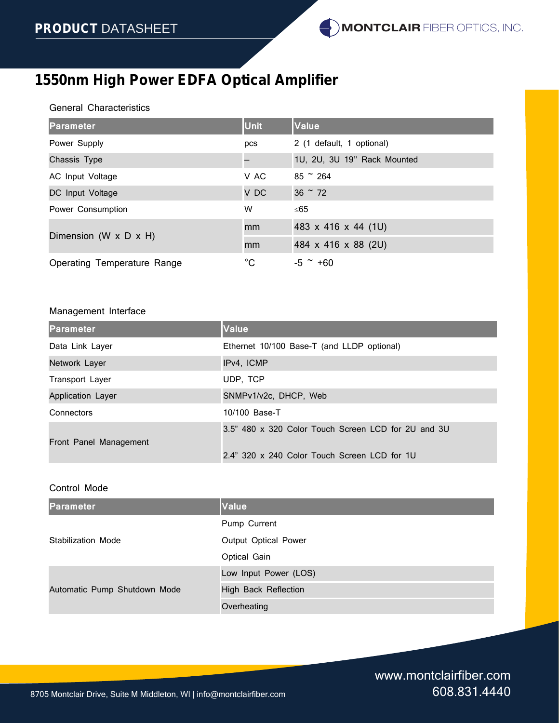### General Characteristics

| <b>Parameter</b>                    | <b>Unit</b>  | Value                       |
|-------------------------------------|--------------|-----------------------------|
| Power Supply                        | pcs          | 2 (1 default, 1 optional)   |
| Chassis Type                        |              | 1U, 2U, 3U 19" Rack Mounted |
| AC Input Voltage                    | V AC         | $85 \degree 264$            |
| DC Input Voltage                    | V DC         | $36 \degree 72$             |
| Power Consumption                   | W            | 65                          |
| Dimension (W $\times$ D $\times$ H) | mm           | 483 x 416 x 44 (1U)         |
|                                     | mm           | 484 x 416 x 88 (2U)         |
| <b>Operating Temperature Range</b>  | $^{\circ}$ C | $-5$ $-$ +60                |

### Management Interface

| <b>Parameter</b>         | <b>Value</b>                                                                                        |
|--------------------------|-----------------------------------------------------------------------------------------------------|
| Data Link Layer          | Ethernet 10/100 Base-T (and LLDP optional)                                                          |
| Network Layer            | IPv4, ICMP                                                                                          |
| Transport Layer          | UDP, TCP                                                                                            |
| <b>Application Layer</b> | SNMPv1/v2c, DHCP, Web                                                                               |
| Connectors               | 10/100 Base-T                                                                                       |
| Front Panel Management   | 3.5" 480 x 320 Color Touch Screen LCD for 2U and 3U<br>2.4" 320 x 240 Color Touch Screen LCD for 1U |

### Control Mode

| <b>Parameter</b>             | <b>Value</b>                |
|------------------------------|-----------------------------|
|                              | Pump Current                |
| Stabilization Mode           | Output Optical Power        |
|                              | Optical Gain                |
|                              | Low Input Power (LOS)       |
| Automatic Pump Shutdown Mode | <b>High Back Reflection</b> |
|                              | Overheating                 |